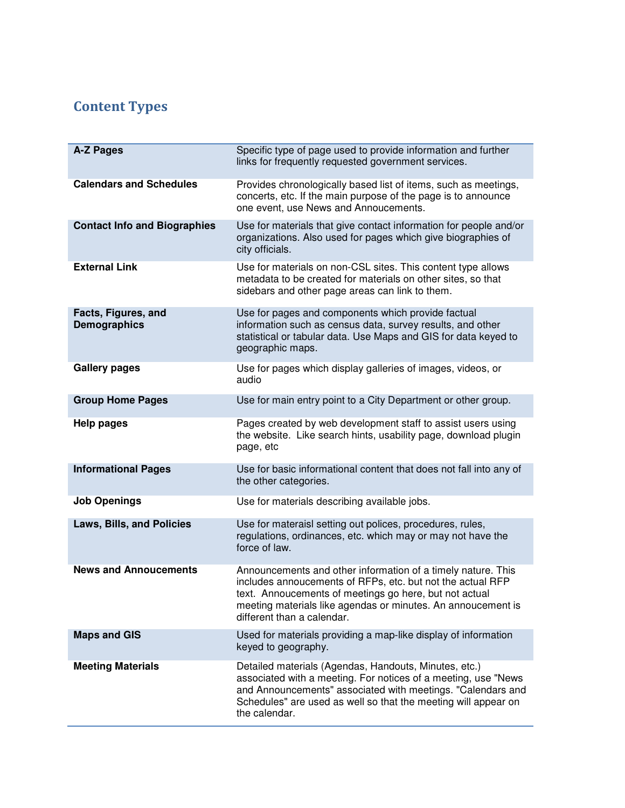## Content Types

| A-Z Pages                                  | Specific type of page used to provide information and further<br>links for frequently requested government services.                                                                                                                                                               |
|--------------------------------------------|------------------------------------------------------------------------------------------------------------------------------------------------------------------------------------------------------------------------------------------------------------------------------------|
| <b>Calendars and Schedules</b>             | Provides chronologically based list of items, such as meetings,<br>concerts, etc. If the main purpose of the page is to announce<br>one event, use News and Annoucements.                                                                                                          |
| <b>Contact Info and Biographies</b>        | Use for materials that give contact information for people and/or<br>organizations. Also used for pages which give biographies of<br>city officials.                                                                                                                               |
| <b>External Link</b>                       | Use for materials on non-CSL sites. This content type allows<br>metadata to be created for materials on other sites, so that<br>sidebars and other page areas can link to them.                                                                                                    |
| Facts, Figures, and<br><b>Demographics</b> | Use for pages and components which provide factual<br>information such as census data, survey results, and other<br>statistical or tabular data. Use Maps and GIS for data keyed to<br>geographic maps.                                                                            |
| <b>Gallery pages</b>                       | Use for pages which display galleries of images, videos, or<br>audio                                                                                                                                                                                                               |
| <b>Group Home Pages</b>                    | Use for main entry point to a City Department or other group.                                                                                                                                                                                                                      |
| <b>Help pages</b>                          | Pages created by web development staff to assist users using<br>the website. Like search hints, usability page, download plugin<br>page, etc                                                                                                                                       |
| <b>Informational Pages</b>                 | Use for basic informational content that does not fall into any of<br>the other categories.                                                                                                                                                                                        |
| <b>Job Openings</b>                        | Use for materials describing available jobs.                                                                                                                                                                                                                                       |
| Laws, Bills, and Policies                  | Use for materaisl setting out polices, procedures, rules,<br>regulations, ordinances, etc. which may or may not have the<br>force of law.                                                                                                                                          |
| <b>News and Annoucements</b>               | Announcements and other information of a timely nature. This<br>includes annoucements of RFPs, etc. but not the actual RFP<br>text. Annoucements of meetings go here, but not actual<br>meeting materials like agendas or minutes. An annoucement is<br>different than a calendar. |
| <b>Maps and GIS</b>                        | Used for materials providing a map-like display of information<br>keyed to geography.                                                                                                                                                                                              |
| <b>Meeting Materials</b>                   | Detailed materials (Agendas, Handouts, Minutes, etc.)<br>associated with a meeting. For notices of a meeting, use "News<br>and Announcements" associated with meetings. "Calendars and<br>Schedules" are used as well so that the meeting will appear on<br>the calendar.          |